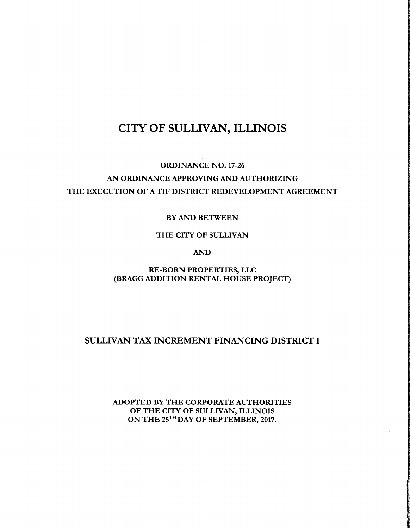# CITY OF SULLIVAN, ILLINOIS

# ORDINANCE NO. 17-26 AN ORDINANCE APPROVING AND AUTHORIZING THE EXECUTION OF A TIF DISTRICT REDEVELOPMENT AGREEMENT

#### BY AND BETWEEN

#### THE CITY OF SULLIVAN

AND

RE-BORN PROPERTIES, LLC BRAGG ADDITION RENTAL HOUSE PROJECT)

## SULLIVAN TAX INCREMENT FINANCING DISTRICT I

ADOPTED BY THE CORPORATE AUTHORITIES OF THE CITY OF SULLIVAN, ILLINOIS ON THE 25<sup>TH</sup> DAY OF SEPTEMBER, 2017.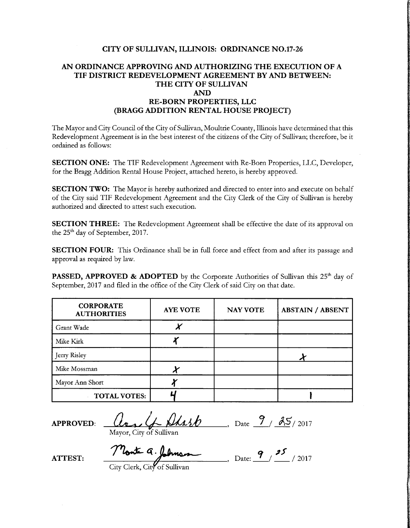#### CITY OF SULLIVAN, ILLINOIS: ORDINANCE NO.17-26

#### AN ORDINANCE APPROVING AND AUTHORIZING THE EXECUTION OF A TIF DISTRICT REDEVELOPMENT AGREEMENT BY AND BETWEEN: THE CITY OF SULLIVAN AND RE-BORN PROPERTIES, LLC BRAGG ADDITION RENTAL HOUSE PROJECT)

The Mayor and City Council of the City of Sullivan, Moultrie County, Illinois have determined that this Redevelopment Agreement is in the best interest of the citizens of the City of Sullivan; therefore, be it ordained as follows:

SECTION ONE: The TIF Redevelopment Agreement with Re-Born Properties, LLC, Developer, for the Bragg Addition Rental House Project, attached hereto, is hereby approved.

SECTION TWO: The Mayor is hereby authorized and directed to enter into and execute on behalf of the City said TIF Redevelopment Agreement and the City Clerk of the City of Sullivan is hereby authorized and directed to attest such execution.

SECTION THREE: The Redevelopment Agreement shall be effective the date of its approval on the 25<sup>th</sup> day of September, 2017.

SECTION FOUR: This Ordinance shall be in full force and effect from and after its passage and approval as required by law.

PASSED, APPROVED & ADOPTED by the Corporate Authorities of Sullivan this 25<sup>th</sup> day of September, 2017 and filed in the office of the City Clerk of said City on that date.

| <b>CORPORATE</b><br><b>AUTHORITIES</b> | <b>AYE VOTE</b> | <b>NAY VOTE</b> | <b>ABSTAIN / ABSENT</b> |
|----------------------------------------|-----------------|-----------------|-------------------------|
| Grant Wade                             |                 |                 |                         |
| Mike Kirk                              |                 |                 |                         |
| Jerry Risley                           |                 |                 |                         |
| Mike Mossman                           |                 |                 |                         |
| Mayor Ann Short                        |                 |                 |                         |
| <b>TOTAL VOTES:</b>                    |                 |                 |                         |

APPROVED:  $\left( \lambda \right)$   $\left( \lambda \right)$   $\left( \lambda \right)$   $\left( \lambda \right)$   $\left( \lambda \right)$   $\left( \lambda \right)$   $\left( \lambda \right)$   $\left( \lambda \right)$   $\left( \lambda \right)$   $\left( \lambda \right)$   $\left( \lambda \right)$   $\left( \lambda \right)$   $\left( \lambda \right)$   $\left( \lambda \right)$   $\left( \lambda \right)$   $\left( \lambda \right)$   $\left( \lambda \right)$   $\left( \lambda \right)$   $\left( \lambda \right)$   $\$ 

Mayor, City of Sullivan

ATTEST: Monte 9, Selman, Date: 9, 25, 2017 City Clerk, City of Sullivan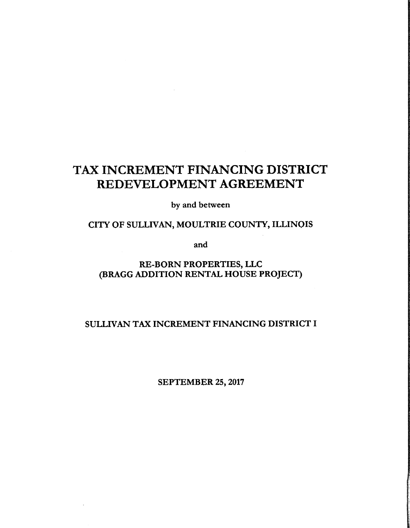# TAX INCREMENT FINANCING DISTRICT REDEVELOPMENT AGREEMENT

by and between

# CITY OF SULLIVAN, MOULTRIE COUNTY, ILLINOIS

and

# RE-BORN PROPERTIES, LLC BRAGG ADDITION RENTAL HOUSE PROJECT)

## SULLIVAN TAX INCREMENT FINANCING DISTRICT I

SEPTEMBER 25, 2017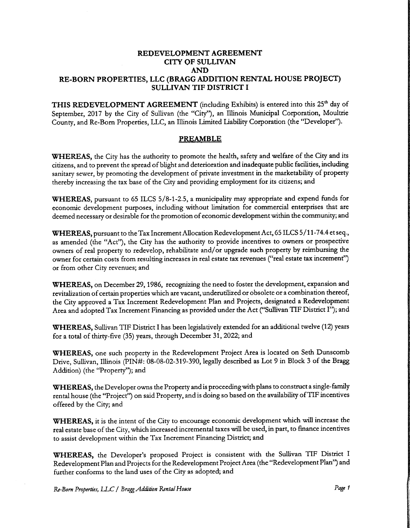#### REDEVELOPMENT AGREEMENT CITY OF SULLIVAN AND RE-BORN PROPERTIES, LLC (BRAGG ADDITION RENTAL HOUSE PROJECT) SULLIVAN TIF DISTRICT I

THIS REDEVELOPMENT AGREEMENT (including Exhibits) is entered into this 25<sup>th</sup> day of September, 2017 by the City of Sullivan (the "City"), an Illinois Municipal Corporation, Moultrie County, and Re-Born Properties, LLC, an Illinois Limited Liability Corporation (the" Developer").

#### PREAMBLE

WHEREAS, the City has the authority to promote the health, safety and welfare of the City and its citizens, and to prevent the spread ofblight and deterioration and inadequate public facilities, including sanitary sewer, by promoting the development of private investment in the marketability of property thereby increasing the tax base of the City and providing employment for its citizens; and

WHEREAS, pursuant to 65 ILCS 5/8-1-2.5, a municipality may appropriate and expend funds for economic development purposes, including without limitation for commercial enterprises that are deemed necessary or desirable for the promotion of economic development within the community; and

WHEREAS, pursuant to the Tax Increment Allocation Redevelopment Act, 65 ILCS 5/11-74.4 et seq., as amended (the "Act"), the City has the authority to provide incentives to owners or prospective owners of real property to redevelop, rehabilitate and/ or upgrade such property by reimbursing the owner for certain costs from resulting increases in real estate tax revenues ("real estate tax increment") or from other City revenues; and

WHEREAS, on December 29, 1986, recognizing the need to foster the development, expansion and revitalization of certain properties which are vacant, underutilized or obsolete or <sup>a</sup> combination thereof, the City approved a Tax Increment Redevelopment Plan and Projects, designated a Redevelopment Area and adopted Tax Increment Financing as provided under the Act ("Sullivan TIF District I"); and

WHEREAS, Sullivan TIF District I has been legislatively extended for an additional twelve (12) years for <sup>a</sup> total of thirty-five (35) years, through December 31, 2022; and

WHEREAS, one such property in the Redevelopment Project Area is located on Seth Dunscomb Drive, Sullivan, Illinois (PIN#: 08-08-02-319-390, legally described as Lot 9 in Block 3 of the Bragg Addition) (the "Property"); and

WHEREAS, the Developer owns the Property and is proceeding with plans to construct a single-family rental house (the "Project") on said Property, and is doing so based on the availability of TIF incentives offered by the City; and

WHEREAS, it is the intent of the City to encourage economic development which will increase the real estate base of the City, which increased incremental taxes will be used, in part, to finance incentives to assist development within the Tax Increment Financing District; and

WHEREAS, the Developer's proposed Project is consistent with the Sullivan TIF District I Redevelopment Plan and Projects for the Redevelopment Project Area (the "Redevelopment Plan") and further conforms to the land uses of the City as adopted; and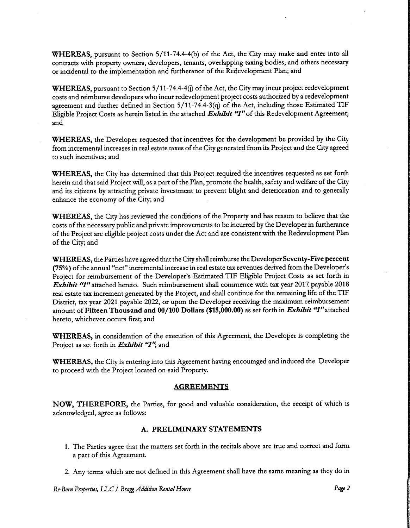WHEREAS, pursuant to Section 5/11-74.4-4(b) of the Act, the City may make and enter into all contracts with property owners, developers, tenants, overlapping taxing bodies, and others necessary or incidental to the implementation and furtherance of the Redevelopment Plan; and

WHEREAS, pursuant to Section 5/11-74.4-4(j) of the Act, the City may incur project redevelopment costs and reimburse developers who incur redevelopment project costs authorized by <sup>a</sup> redevelopment agreement and further defined in Section  $5/11-74.4-3(q)$  of the Act, including those Estimated TIF Eligible Project Costs as herein listed in the attached Exhibit "1" of this Redevelopment Agreement; and

WHEREAS, the Developer requested that incentives for the development be provided by the City from incremental increases in real estate taxes of the City generated from its Project and the City agreed to such incentives; and

WHEREAS, the City has determined that this Project required the incentives requested as set forth herein and that said Project will, as <sup>a</sup> part of the Plan, promote the health, safety and welfare of the City and its citizens by attracting private investment to prevent blight and deterioration and to generally enhance the economy of the City; and

WHEREAS, the City has reviewed the conditions of the Property and has reason to believe that the costs of the necessary public and private improvements to be incurred by the Developer in furtherance of the Project are eligible project costs under the Act and are consistent with the Redevelopment Plan of the City; and

WHEREAS, the Parties have agreed that the City shall reimburse the Developer Seventy-Five percent (75%) of the annual "net" incremental increase in real estate tax revenues derived from the Developer's Project for reimbursement of the Developer's Estimated TIF Eligible Project Costs as set forth in Exhibit "1" attached hereto. Such reimbursement shall commence with tax year 2017 payable 2018 real estate tax increment generated by the Project, and shall continue for the remaining life of the TIF District, tax year 2021 payable 2022, or upon the Developer receiving the maximum reimbursement amount of Fifteen Thousand and 00/100 Dollars (\$15,000.00) as set forth in *Exhibit "1"* attached hereto, whichever occurs first; and

WHEREAS, in consideration of the execution of this Agreement, the Developer is completing the Project as set forth in *Exhibit* "1"; and

WHEREAS, the City is entering into this Agreement having encouraged and induced the Developer to proceed with the Project located on said Property.

#### **AGREEMENTS**

NOW, THEREFORE, the Parties, for good and valuable consideration, the receipt of which is acknowledged, agree as follows:

#### A. PRELIMINARY STATEMENTS

- 1. The Parties agree that the matters set forth in the recitals above are true and correct and form <sup>a</sup> part of this Agreement.
- 2. Any terms which are not defined in this Agreement shall have the same meaning as they do in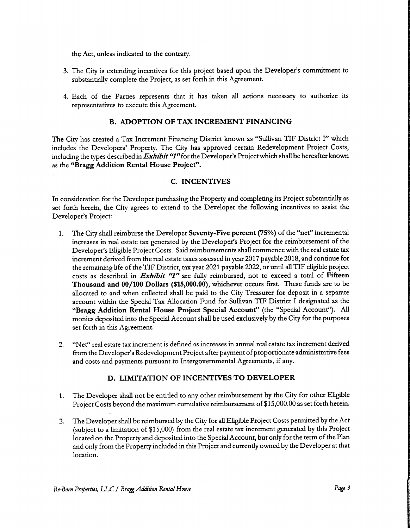the Act, unless indicated to the contrary.

- 3. The City is extending incentives for this project based upon the Developer' <sup>s</sup> commitment to substantially complete the Project, as set forth in this Agreement.
- 4. Each of the Parties represents that it has taken all actions necessary to authorize its representatives to execute this Agreement.

#### B. ADOPTION OF TAX INCREMENT FINANCING

The City has created <sup>a</sup> Tax Increment Financing District known as " Sullivan TIF District I" which includes the Developers' Property. The City has approved certain Redevelopment Project Costs, including the types described in *Exhibit* "I" for the Developer's Project which shall be hereafter known as the "Bragg Addition Rental House Project".

#### C. INCENTIVES

In consideration for the Developer purchasing the Property and completing its Project substantially as set forth herein, the City agrees to extend to the Developer the following incentives to assist the Developer's Project:

- 1. The City shall reimburse the Developer Seventy-Five percent (75%) of the "net" incremental increases in real estate tax generated by the Developer's Project for the reimbursement of the Developer's Eligible Project Costs. Said reimbursements shall commence with the real estate tax increment derived from the real estate taxes assessed in year 2017 payable 2018, and continue for the remaining life of the TIF District, tax year 2021 payable 2022, or until all TIF eligible project costs as described in *Exhibit* "1" are fully reimbursed, not to exceed a total of Fifteen Thousand and 00/ 100 Dollars (\$15, 000. 00), whichever occurs first. These funds are to be allocated to and when collected shall be paid to the City Treasurer for deposit in a separate account within the Special Tax Allocation Fund for Sullivan TIF District I designated as the Bragg Addition Rental House Project Special Account" ( the " Special Account'. All monies deposited into the Special Account shall be used exclusively by the City for the purposes set forth in this Agreement.
- 2. " Net" real estate tax increment is defined as increases in annual real estate tax increment derived from the Developer's Redevelopment Project after payment of proportionate administrative fees and costs and payments pursuant to Intergovernmental Agreements, if any.

#### D. LIMITATION OF INCENTIVES TO DEVELOPER

- 1. The Developer shall not be entitled to any other reimbursement by the City for other Eligible Project Costs beyond the maximum cumulative reimbursement of \$15,000.00 as set forth herein.
- 2. The Developer shall be reimbursed by the City for all Eligible Project Costs permitted by the Act subject to <sup>a</sup> limitation of\$15, 000) from the real estate tax increment generated by this Project located on the Property and deposited into the Special Account, but only for the term of the Plan and only from the Property included in this Project and currently owned by the Developer at that location.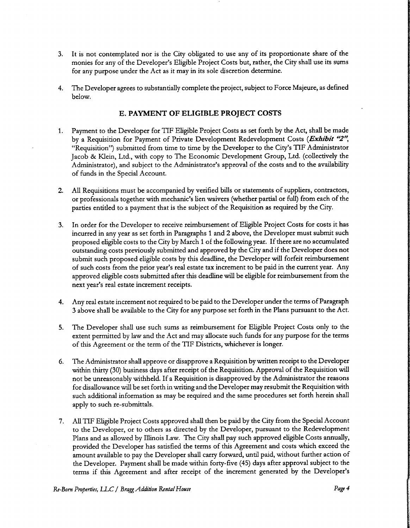- 3. It is not contemplated nor is the City obligated to use any of its proportionate share of the monies for any of the Developer's Eligible Project Costs but, rather, the City shall use its sums for any purpose under the Act as it may in its sole discretion determine.
- 4. The Developer agrees to substantially complete the project, subject to Force Majeure, as defined below.

#### E. PAYMENT OF ELIGIBLE PROJECT COSTS

- 1. Payment to the Developer for TIF Eligible Project Costs as set forth by the Act, shall be made by a Requisition for Payment of Private Development Redevelopment Costs (Exhibit "2", "Requisition") submitted from time to time by the Developer to the City's TIF Administrator Jacob & Klein, Ltd., with copy to The Economic Development Group, Ltd. (collectively the Administrator), and subject to the Administrator's approval of the costs and to the availability of funds in the Special Account.
- 2. All Requisitions must be accompanied by verified bills or statements of suppliers, contractors, or professionals together with mechanic's lien waivers (whether partial or full) from each of the parties entitled to <sup>a</sup> payment that is the subject of the Requisition as required by the City.
- 3. In order for the Developer to receive reimbursement of Eligible Project Costs for costs it has incurred in any year as set forth in Paragraphs <sup>1</sup> and 2 above, the Developer must submit such proposed eligible costs to the City by March 1 of the following year. If there are no accumulated outstanding costs previously submitted and approved by the City and if the Developer does not submit such proposed eligible costs by this deadline, the Developer will forfeit reimbursement of such costs from the prior year's real estate tax increment to be paid in the current year. Any approved eligible costs submitted after this deadline will be eligible for reimbursement from the next year's real estate increment receipts.
- 4. Any real estate increment not required to be paid to the Developer under the terms of Paragraph 3 above shall be available to the City for any purpose set forth in the Plans pursuant to the Act.
- 5. The Developer shall use such sums as reimbursement for Eligible Project Costs only to the extent permitted by law and the Act and may allocate such funds for any purpose for the terms of this Agreement or the term of the TIF Districts, whichever is longer.
- 6. The Administrator shall approve or disapprove a Requisition by written receipt to the Developer within thirty( 30) business days after receipt of the Requisition. Approval of the Requisition will not be unreasonably withheld. If <sup>a</sup> Requisition is disapproved by the Administrator the reasons for disallowance will be set forth in writing and the Developer may resubmit the Requisition with such additional information as may be required and the same procedures set forth herein shall apply to such re-submittals.
- 7. All TIF Eligible Project Costs approved shall then be paid by the City from the Special Account to the Developer, or to others as directed by the Developer, pursuant to the Redevelopment Plans and as allowed by Illinois Law. The City shall pay such approved eligible Costs annually, provided the Developer has satisfied the terms of this Agreement and costs which exceed the amount available to pay the Developer shall carry forward, until paid, without further action of the Developer. Payment shall be made within forty-five( 45) days after approval subject to the terms if this Agreement and after receipt of the increment generated by the Developer's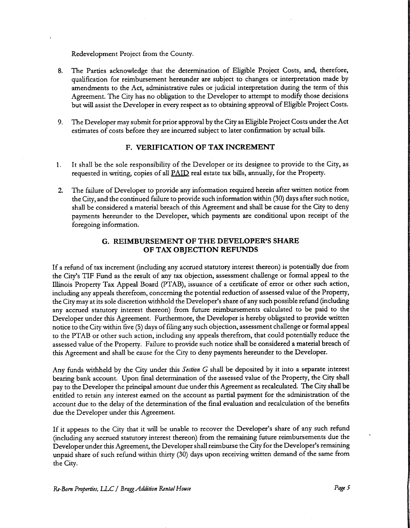Redevelopment Project from the County.

- 8. The Parties acknowledge that the determination of Eligible Project Costs, and, therefore, qualification for reimbursement hereunder are subject to changes or interpretation made by amendments to the Act, administrative rules or judicial interpretation during the term of this Agreement. The City has no obligation to the Developer to attempt to modify those decisions but will assist the Developer in every respect as to obtaining approval of Eligible Project Costs.
- 9. The Developer may submit for prior approval by the City as Eligible Project Costs under the Act estimates of costs before they are incurred subject to later confirmation by actual bills.

#### F. VERIFICATION OF TAX INCREMENT

- 1. It shall be the sole responsibility of the Developer or its designee to provide to the City, as requested in writing, copies of all PAID real estate tax bills, annually, for the Property.
- 2. The failure of Developer to provide any information required herein after written notice from the City, and the continued failure to provide such information within( 30) days after such notice, shall be considered <sup>a</sup> material breach of this Agreement and shall be cause for the City to deny payments hereunder to the Developer, which payments are conditional upon receipt of the foregoing information.

#### G. REIMBURSEMENT OF THE DEVELOPER'S SHARE OF TAX OBJECTION REFUNDS

If <sup>a</sup> refund of tax increment (including any accrued statutory interest thereon) is potentially due from the City's TIF Fund as the result of any tax objection, assessment challenge or formal appeal to the Illinois Property Tax Appeal Board (PTAB), issuance of <sup>a</sup> certificate of error or other such action, including any appeals therefrom, concerning the potential reduction of assessed value of the Property, the City may at its sole discretion withhold the Developer's share of any such possible refund (including any accrued statutory interest thereon) from future reimbursements calculated to be paid to the Developer under this Agreement. Furthermore, the Developer is hereby obligated to provide written notice to the City within five( 5) days of filing any such objection, assessment challenge or formal appeal to the PTAB or other such action, including any appeals therefrom, that could potentially reduce the assessed value of the Property. Failure to provide such notice shall be considered <sup>a</sup> material breach of this Agreement and shall be cause for the City to deny payments hereunder to the Developer.

Any funds withheld by the City under this Section G shall be deposited by it into a separate interest bearing bank account. Upon final determination of the assessed value of the Property, the City shall pay to the Developer the principal amount due under this Agreement as recalculated. The City shall be entitled to retain any interest earned on the account as partial payment for the administration of the account due to the delay of the determination of the final evaluation and recalculation of the benefits due the Developer under this Agreement.

If it appears to the City that it will be unable to recover the Developer's share of any such refund including any accrued statutory interest thereon) from the remaining future reimbursements due the Developer under this Agreement, the Developer shall reimburse the City for the Developer's remaining unpaid share of such refund within thirty (30) days upon receiving written demand of the same from the City.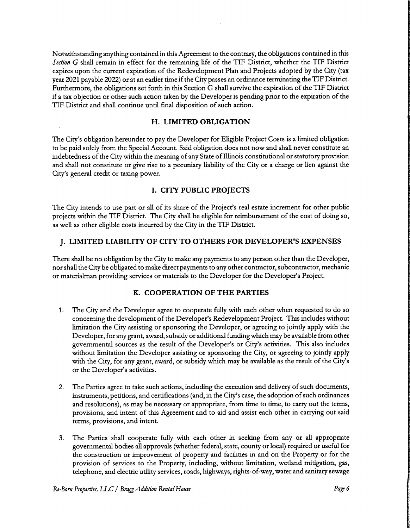Notwithstanding anything contained in this Agreement to the contrary, the obligations contained in this Section G shall remain in effect for the remaining life of the TIF District, whether the TIF District expires upon the current expiration of the Redevelopment Plan and Projects adopted by the City( tax year <sup>2021</sup> payable 2022) or at an earlier time if the City passes an ordinance terminating the TIF District. Furthermore, the obligations set forth in this Section G shall survive the expiration of the TIF District ifa tax objection or other such action taken by the Developer is pending prior to the expiration of the TIF District and shall continue until final disposition of such action.

#### H. LIMITED OBLIGATION

The City's obligation hereunder to pay the Developer for Eligible Project Costs is a limited obligation to be paid solely from the Special Account. Said obligation does not now and shall never constitute an indebtedness of the City within the meaning of any State of Illinois constitutional or statutory provision and shall not constitute or give rise to <sup>a</sup> pecuniary liability of the City or <sup>a</sup> charge or lien against the City's general credit or taxing power.

#### I. CITY PUBLIC PROJECTS

The City intends to use part or all of its share of the Project's real estate increment for other public projects within the TIF District. The City shall be eligible for reimbursement of the cost of doing so, as well as other eligible costs incurred by the City in the TIF District.

#### J. LIMITED LIABILITY OF CITY TO OTHERS FOR DEVELOPER'S EXPENSES

There shall be no obligation by the City to make any payments to any person other than the Developer, nor shall the City be obligated to make direct payments to any other contractor, subcontractor, mechanic or materialman providing services or materials to the Developer for the Developer's Project.

#### K. COOPERATION OF THE PARTIES

- 1. The City and the Developer agree to cooperate fully with each other when requested to do so concerning the development of the Developer's Redevelopment Project. This includes without limitation the City assisting or sponsoring the Developer, or agreeing to jointly apply with the Developer, for any grant, award, subsidy or additional funding which may be available from other governmental sources as the result of the Developer's or City's activities. This also includes without limitation the Developer assisting or sponsoring the City, or agreeing to jointly apply with the City, for any grant, award, or subsidy which may be available as the result of the City's or the Developer's activities.
- 2. The Parties agree to take such actions, including the execution and delivery of such documents, instruments, petitions, and certifications (and, in the City's case, the adoption of such ordinances and resolutions), as may be necessary or appropriate, from time to time, to carry out the terms, provisions, and intent of this Agreement and to aid and assist each other in carrying out said terms, provisions, and intent.
- 3. The Parties shall cooperate fully with each other in seeking from any or all appropriate governmental bodies all approvals( whether federal, state, county or local) required or useful for the construction or improvement of property and facilities in and on the Property or for the provision of services to the Property, including, without limitation, wetland mitigation, gas, telephone, and electric utility services, roads, highways, rights-of-way, water and sanitary sewage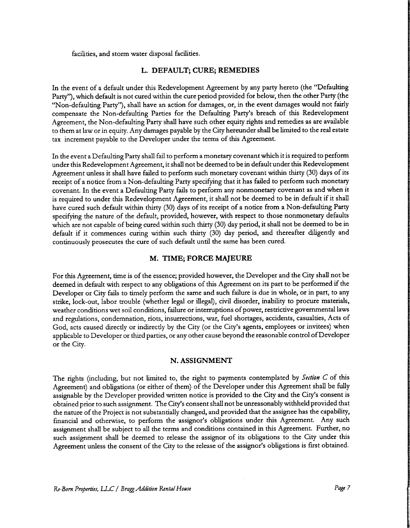facilities, and storm water disposal facilities.

#### L. DEFAULT; CURE; REMEDIES

In the event of a default under this Redevelopment Agreement by any party hereto (the "Defaulting Party"), which default is not cured within the cure period provided for below, then the other Party (the Non-defaulting Party"), shall have an action for damages, or, in the event damages would not fairly compensate the Non-defaulting Parties for the Defaulting Party's breach of this Redevelopment Agreement, the Non-defaulting Party shall have such other equity rights and remedies as are available to them at law or in equity. Any damages payable by the City hereunder shall be limited to the real estate tax increment payable to the Developer under the terms of this Agreement.

In the event <sup>a</sup> Defaulting Party shall fail to perform <sup>a</sup> monetary covenant which it is required to perform under this Redevelopment Agreement, it shall not be deemed to be in default under this Redevelopment Agreement unless it shall have failed to perform such monetary covenant within thirty( 30) days of its receipt of <sup>a</sup> notice from <sup>a</sup> Non-defaulting Party specifying that it has failed to perform such monetary covenant. In the event <sup>a</sup> Defaulting Party fails to perform any nonmonetary covenant as and when it is required to under this Redevelopment Agreement, it shall not be deemed to be in default if it shall have cured such default within thirty (30) days of its receipt of <sup>a</sup> notice from <sup>a</sup> Non-defaulting Party specifying the nature of the default, provided, however, with respect to those nonmonetary defaults which are not capable of being cured within such thirty (30) day period, it shall not be deemed to be in default if it commences curing within such thirty (30) day period, and thereafter diligently and continuously prosecutes the cure of such default until the same has been cured.

#### M. TIME; FORCE MAJEURE

For this Agreement, time is of the essence; provided however, the Developer and the City shall not be deemed in default with respect to any obligations of this Agreement on its part to be performed if the Developer or City fails to timely perform the same and such failure is due in whole, or in part, to any strike, lock-out, labor trouble (whether legal or illegal), civil disorder, inability to procure materials, weather conditions wet soil conditions, failure or interruptions of power, restrictive governmental laws and regulations, condemnation, riots, insurrections, war, fuel shortages, accidents, casualties, Acts of God, acts caused directly or indirectly by the City (or the City's agents, employees or invitees) when applicable to Developer or third parties, or any other cause beyond the reasonable control ofDeveloper or the City.

#### N. ASSIGNMENT

The rights (including, but not limited to, the right to payments contemplated by Section C of this Agreement) and obligations (or either of them) of the Developer under this Agreement shall be fully assignable by the Developer provided written notice is provided to the City and the City's consent is obtained prior to such assignment. The City's consent shall not be unreasonably withheld provided that the nature of the Project is not substantially changed, and provided that the assignee has the capability, financial and otherwise, to perform the assignor's obligations under this Agreement. Any such assignment shall be subject to all the terms and conditions contained in this Agreement. Further, no such assignment shall be deemed to release the assignor of its obligations to the City under this Agreement unless the consent of the City to the release of the assignor' <sup>s</sup> obligations is first obtained.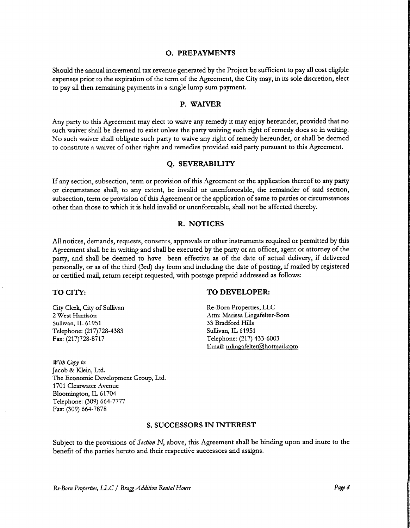#### p. PREPAYMENTS

Should the annual incremental tax revenue generated by the Project be sufficient to pay all cost eligible expenses prior to the expiration of the term of the Agreement, the City may, in its sole discretion, elect to pay all then remaining payments in <sup>a</sup> single lump sum payment.

#### P. WAIVER

Any party to this Agreement may elect to waive any remedy it may enjoy hereunder, provided that no such waiver shall be deemed to exist unless the party waiving such right of remedy does so in writing. No such waiver shall obligate such party to waive any right of remedy hereunder, or shall be deemed to constitute <sup>a</sup> waiver of other rights and remedies provided said party pursuant to this Agreement.

#### Q. SEVERABILITY

If any section, subsection, term or provision of this Agreement or the application thereof to any party or circumstance shall, to any extent, be invalid or unenforceable, the remainder of said section, subsection, term or provision of this Agreement or the application of same to parties or circumstances other than those to which it is held invalid or unenforceable, shall not be affected thereby.

#### R. NOTICES

All notices, demands, requests, consents, approvals or other instruments required or permitted by this Agreement shall be in writing and shall be executed by the party or an officer, agent or attorney of the party, and shall be deemed to have been effective as of the date of actual delivery, if delivered personally, or as of the third (3rd) day from and including the date of posting, if mailed by registered or certified mail, return receipt requested, with postage prepaid addressed as follows:

City Clerk, City of Sullivan Re-Born Properties, LLC<br>
2 West Harrison Attn: Marissa Lingafelter-Sullivan, IL 61951 33 Bradford Hills Telephone: (217)728-4383 Sullivan, IL 61951 Fax: (217) 728- 8717 Telephone: (217) 433- 6003

TO CITY: TO DEVELOPER:

Attn: Marissa Lingafelter-Born Email: mlingafelter(@hotmail.com

With Copy to: Jacob& Klein, Ltd. The Economic Development Group, Ltd. 1701 Clearwater Avenue Bloomington, IL 61704 Telephone: (309) 664- 7777 Fax: (309) 664-7878

#### S. SUCCESSORS IN INTEREST

Subject to the provisions of Section N, above, this Agreement shall be binding upon and inure to the benefit of the parties hereto and their respective successors and assigns.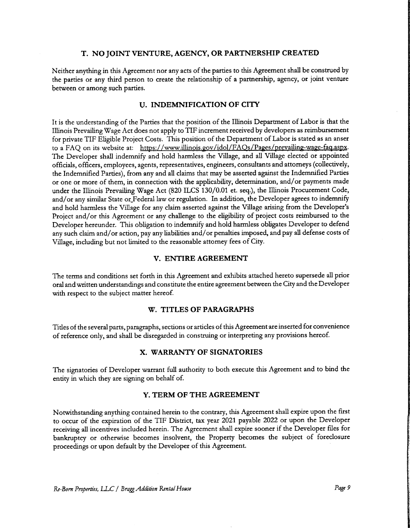#### T. NO JOINT VENTURE, AGENCY, OR PARTNERSHIP CREATED

Neither anything in this Agreement nor any acts of the parties to this Agreement shall be construed by the parties or any third person to create the relationship of <sup>a</sup> partnership, agency, or joint venture between or among such parties.

#### U. INDEMNIFICATION OF CITY

It is the understanding of the Parties that the position of the Illinois Department of Labor is that the Illinois Prevailing Wage Act does not apply to TIF increment received by developers as reimbursement for private TIF Eligible Project Costs. This position of the Department of Labor is stated as an anser to a FAQ on its website at: https://www.illinois.gov/idol/FAOs/Pages/prevailing-wage-faq.aspx. The Developer shall indemnify and hold harmless the Village, and all Village elected or appointed officials, officers, employees, agents, representatives, engineers, consultants and attorneys( collectively, the Indemnified Parties), from any and all claims that may be asserted against the Indemnified Parties or one or more of them, in connection with the applicability, determination, and/ or payments made under the Illinois Prevailing Wage Act (820 ILCS 130/0.01 et. seq.), the Illinois Procurement Code, and/ or any similar State or Federal law or regulation. In addition, the Developer agrees to indemnify and hold harmless the Village for any claim asserted against the Village arising from the Developer's Project and/or this Agreement or any challenge to the eligibility of project costs reimbursed to the Developer hereunder. This obligation to indemnify and hold harmless obligates Developer to defend any such claim and/or action, pay any liabilities and/or penalties imposed, and pay all defense costs of Village, including but not limited to the reasonable attorney fees of City.

#### V. ENTIRE AGREEMENT

The terms and conditions set forth in this Agreement and exhibits attached hereto supersede all prior oral and written understandings and constitute the entire agreement between the City and the Developer with respect to the subject matter hereof.

#### W. TITLES OF PARAGRAPHS

Titles of the several parts, paragraphs, sections or articles of this Agreement are inserted for convenience of reference only, and shall be disregarded in construing or interpreting any provisions hereof.

#### X. WARRANTY OF SIGNATORIES

The signatories of Developer warrant full authority to both execute this Agreement and to bind the entity in which they are signing on behalf of.

#### Y. TERM OF THE AGREEMENT

Notwithstanding anything contained herein to the contrary, this Agreement shall expire upon the first to occur of the expiration of the TIF District, tax year 2021 payable 2022 or upon the Developer receiving all incentives included herein. The Agreement shall expire sooner if the Developer files for bankruptcy or otherwise becomes insolvent, the Property becomes the subject of foreclosure proceedings or upon default by the Developer of this Agreement.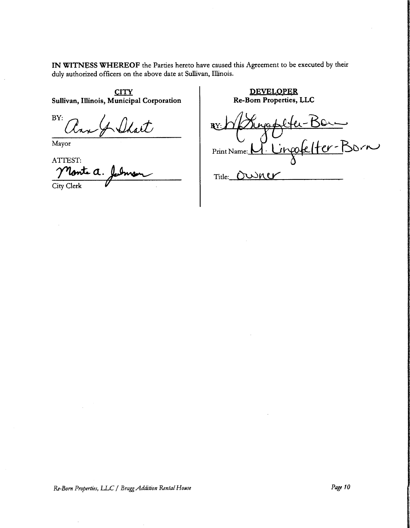IN WITNESS WHEREOF the Parties hereto have caused this Agreement to be executed by their duly authorized officers on the above date at Sullivan, Illinois.

Sullivan, Illinois, Municipal Corporation

BY:  $\mathcal{F}$ 

Mayor

ATTEST: a. City Clerk

CITY<br>
Unicipal Corporation<br>
Re-Born Properties, LLC

RY: Waggelter-Bonne<br>Print Name: <u>W. Lingofelter-Born</u> RY:

Title: OUNCY

Re-Born Properties, LLC / Bragg Addition Rental House Page 10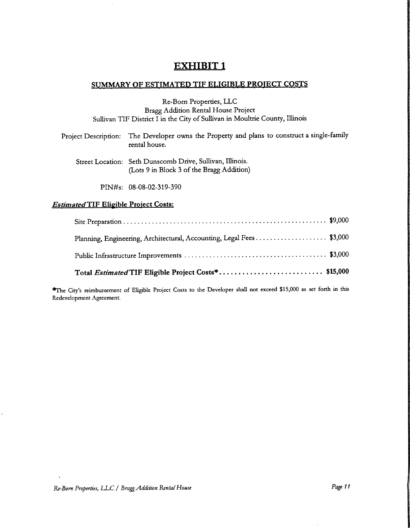# EXHIBIT <sup>1</sup>

### SUMMARY OF ESTIMATED TIF ELIGIBLE PROJECT COSTS

Re-Born Properties, LLC Bragg Addition Rental House Project Sullivan TIF District I in the City of Sullivan in Moultrie County, Illinois

| Project Description: The Developer owns the Property and plans to construct a single-family<br>rental house. |
|--------------------------------------------------------------------------------------------------------------|
| Street Location: Seth Dunscomb Drive Sulliven Illinois                                                       |

Street Location: Seth Dunscomb Drive, Sullivan, Illinois. Lots <sup>9</sup> in Block <sup>3</sup> of the Bragg Addition)

PIN#s: 08-08-02-319-390

#### **Estimated TIF Eligible Project Costs:**

| Planning, Engineering, Architectural, Accounting, Legal Fees\$3,000 |  |
|---------------------------------------------------------------------|--|
|                                                                     |  |

\*The City's reimbursement of Eligible Project Costs to the Developer shall not exceed \$15,000 as set forth in this Redevelopment Agreement.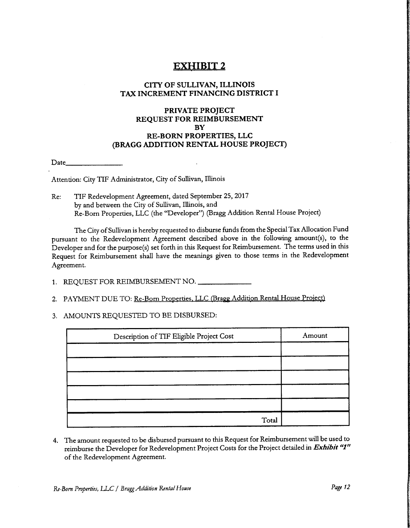# EXHIBIT <sup>2</sup>

### CITY OF SULLIVAN, ILLINOIS TAX INCREMENT FINANCING DISTRICT I

#### PRIVATE PROJECT REQUEST FOR REIMBURSEMENT **BY** RE-BORN PROPERTIES, LLC BRAGG ADDITION RENTAL HOUSE PROJECT)

Date\_

Attention: City TIF Administrator, City of Sullivan, Illinois

Re: TIF Redevelopment Agreement, dated September 25, 2017 by and between the City of Sullivan, Illinois, and Re-Born Properties, LLC (the" Developer") ( Bragg Addition Rental House Project)

The City of Sullivan is hereby requested to disburse funds from the Special Tax Allocation Fund pursuant to the Redevelopment Agreement described above in the following amount(s), to the Developer and for the purpose(s) set forth in this Request for Reimbursement. The terms used in this Request for Reimbursement shall have the meanings given to those terms in the Redevelopment Agreement.

- 1. REQUEST FOR REIMBURSEMENT NO.
- 2. PAYMENT DUE TO: Re-Born Properties, LLC (Bragg Addition Rental House Project)
- 3. AMOUNTS REQUESTED TO BE DISBURSED:

| Description of TIF Eligible Project Cost | Amount |
|------------------------------------------|--------|
|                                          |        |
|                                          |        |
|                                          |        |
|                                          |        |
|                                          |        |
| Total                                    |        |

4. The amount requested to be disbursed pursuant to this Request for Reimbursement will be used to reimburse the Developer for Redevelopment Project Costs for the Project detailed in Exhibit "1" of the Redevelopment Agreement.